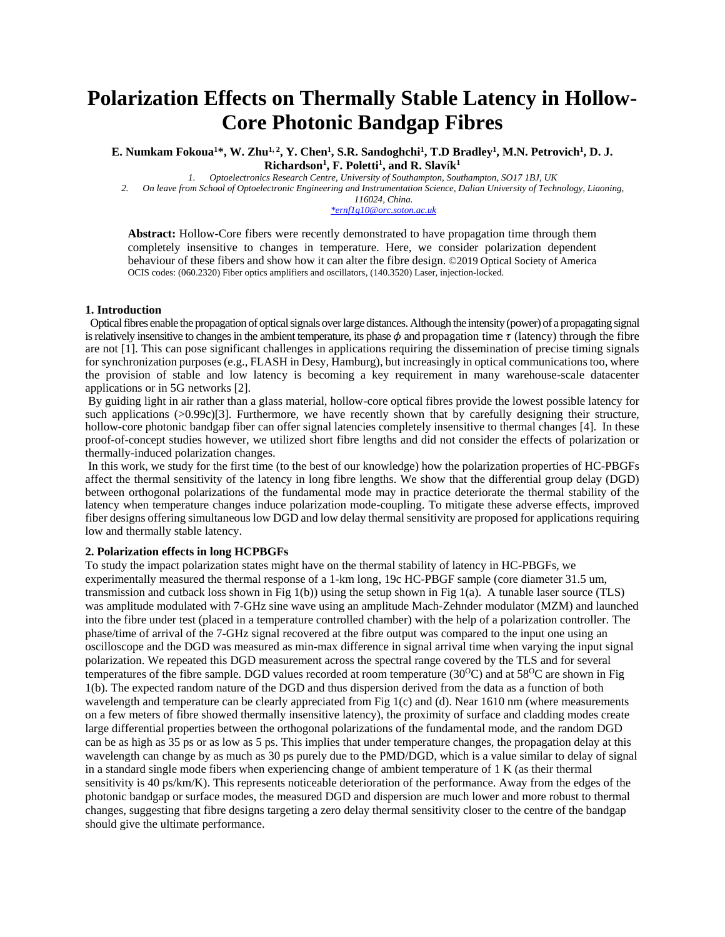# **Polarization Effects on Thermally Stable Latency in Hollow-Core Photonic Bandgap Fibres**

**E. Numkam Fokoua<sup>1</sup>\*, W. Zhu1, 2 , Y. Chen<sup>1</sup> , S.R. Sandoghchi<sup>1</sup> , T.D Bradley<sup>1</sup> , M.N. Petrovich<sup>1</sup> , D. J. Richardson<sup>1</sup> , F. Poletti<sup>1</sup> , and R. Slav**í**k 1**

*1. Optoelectronics Research Centre, University of Southampton, Southampton, SO17 1BJ, UK*

*2. On leave from School of Optoelectronic Engineering and Instrumentation Science, Dalian University of Technology, Liaoning, 116024, China.*

*[\\*ernf1g10@orc.soton.ac.uk](mailto:*ernf1g10@orc.soton.ac.uk)*

**Abstract:** Hollow-Core fibers were recently demonstrated to have propagation time through them completely insensitive to changes in temperature. Here, we consider polarization dependent behaviour of these fibers and show how it can alter the fibre design. ©2019 Optical Society of America OCIS codes: (060.2320) Fiber optics amplifiers and oscillators, (140.3520) Laser, injection-locked.

#### **1. Introduction**

 Optical fibres enable the propagation of optical signals over large distances. Although the intensity (power) of a propagating signal is relatively insensitive to changes in the ambient temperature, its phase  $\phi$  and propagation time  $\tau$  (latency) through the fibre are not [1]. This can pose significant challenges in applications requiring the dissemination of precise timing signals for synchronization purposes (e.g., FLASH in Desy, Hamburg), but increasingly in optical communications too, where the provision of stable and low latency is becoming a key requirement in many warehouse-scale datacenter applications or in 5G networks [2].

By guiding light in air rather than a glass material, hollow-core optical fibres provide the lowest possible latency for such applications (>0.99c)[3]. Furthermore, we have recently shown that by carefully designing their structure, hollow-core photonic bandgap fiber can offer signal latencies completely insensitive to thermal changes [4]. In these proof-of-concept studies however, we utilized short fibre lengths and did not consider the effects of polarization or thermally-induced polarization changes.

In this work, we study for the first time (to the best of our knowledge) how the polarization properties of HC-PBGFs affect the thermal sensitivity of the latency in long fibre lengths. We show that the differential group delay (DGD) between orthogonal polarizations of the fundamental mode may in practice deteriorate the thermal stability of the latency when temperature changes induce polarization mode-coupling. To mitigate these adverse effects, improved fiber designs offering simultaneous low DGD and low delay thermal sensitivity are proposed for applications requiring low and thermally stable latency.

## **2. Polarization effects in long HCPBGFs**

To study the impact polarization states might have on the thermal stability of latency in HC-PBGFs, we experimentally measured the thermal response of a 1-km long, 19c HC-PBGF sample (core diameter 31.5 um, transmission and cutback loss shown in Fig 1(b)) using the setup shown in Fig 1(a). A tunable laser source (TLS) was amplitude modulated with 7-GHz sine wave using an amplitude Mach-Zehnder modulator (MZM) and launched into the fibre under test (placed in a temperature controlled chamber) with the help of a polarization controller. The phase/time of arrival of the 7-GHz signal recovered at the fibre output was compared to the input one using an oscilloscope and the DGD was measured as min-max difference in signal arrival time when varying the input signal polarization. We repeated this DGD measurement across the spectral range covered by the TLS and for several temperatures of the fibre sample. DGD values recorded at room temperature  $(30^{\circ}\text{C})$  and at  $58^{\circ}\text{C}$  are shown in Fig 1(b). The expected random nature of the DGD and thus dispersion derived from the data as a function of both wavelength and temperature can be clearly appreciated from Fig 1(c) and (d). Near 1610 nm (where measurements on a few meters of fibre showed thermally insensitive latency), the proximity of surface and cladding modes create large differential properties between the orthogonal polarizations of the fundamental mode, and the random DGD can be as high as 35 ps or as low as 5 ps. This implies that under temperature changes, the propagation delay at this wavelength can change by as much as 30 ps purely due to the PMD/DGD, which is a value similar to delay of signal in a standard single mode fibers when experiencing change of ambient temperature of 1 K (as their thermal sensitivity is 40 ps/km/K). This represents noticeable deterioration of the performance. Away from the edges of the photonic bandgap or surface modes, the measured DGD and dispersion are much lower and more robust to thermal changes, suggesting that fibre designs targeting a zero delay thermal sensitivity closer to the centre of the bandgap should give the ultimate performance.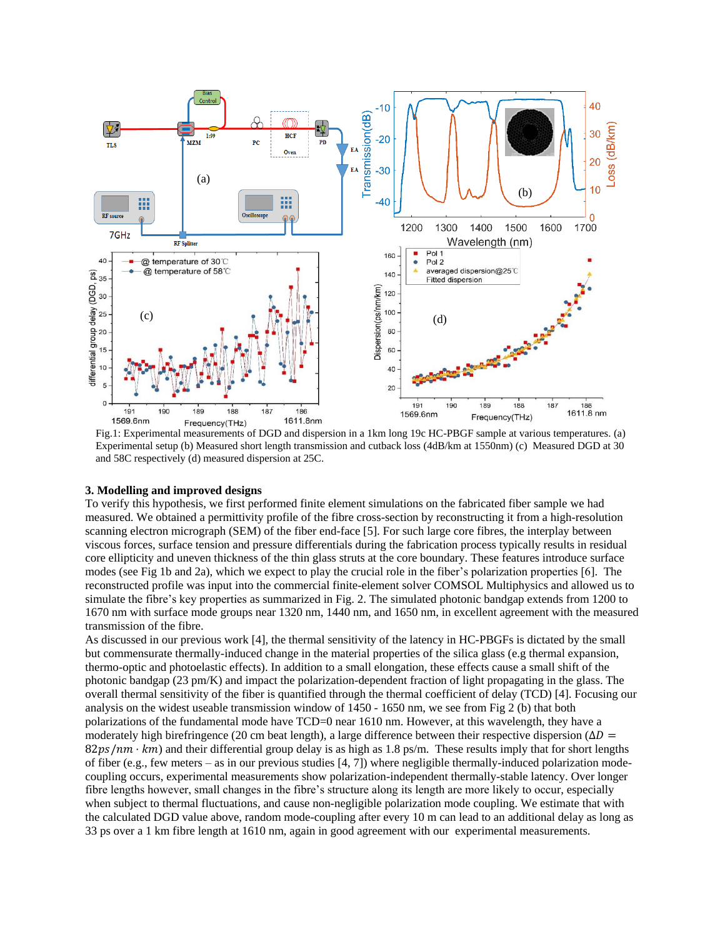

Experimental setup (b) Measured short length transmission and cutback loss (4dB/km at 1550nm) (c) Measured DGD at 30 and 58C respectively (d) measured dispersion at 25C.

### **3. Modelling and improved designs**

To verify this hypothesis, we first performed finite element simulations on the fabricated fiber sample we had measured. We obtained a permittivity profile of the fibre cross-section by reconstructing it from a high-resolution scanning electron micrograph (SEM) of the fiber end-face [5]. For such large core fibres, the interplay between viscous forces, surface tension and pressure differentials during the fabrication process typically results in residual core ellipticity and uneven thickness of the thin glass struts at the core boundary. These features introduce surface modes (see Fig 1b and 2a), which we expect to play the crucial role in the fiber's polarization properties [6]. The reconstructed profile was input into the commercial finite-element solver COMSOL Multiphysics and allowed us to simulate the fibre's key properties as summarized in Fig. 2. The simulated photonic bandgap extends from 1200 to 1670 nm with surface mode groups near 1320 nm, 1440 nm, and 1650 nm, in excellent agreement with the measured transmission of the fibre.

As discussed in our previous work [4], the thermal sensitivity of the latency in HC-PBGFs is dictated by the small but commensurate thermally-induced change in the material properties of the silica glass (e.g thermal expansion, thermo-optic and photoelastic effects). In addition to a small elongation, these effects cause a small shift of the photonic bandgap (23 pm/K) and impact the polarization-dependent fraction of light propagating in the glass. The overall thermal sensitivity of the fiber is quantified through the thermal coefficient of delay (TCD) [4]. Focusing our analysis on the widest useable transmission window of 1450 - 1650 nm, we see from Fig 2 (b) that both polarizations of the fundamental mode have TCD=0 near 1610 nm. However, at this wavelength, they have a moderately high birefringence (20 cm beat length), a large difference between their respective dispersion ( $\Delta D$  =  $82ps/mn \cdot km$ ) and their differential group delay is as high as 1.8 ps/m. These results imply that for short lengths of fiber (e.g., few meters – as in our previous studies  $[4, 7]$ ) where negligible thermally-induced polarization modecoupling occurs, experimental measurements show polarization-independent thermally-stable latency. Over longer fibre lengths however, small changes in the fibre's structure along its length are more likely to occur, especially when subject to thermal fluctuations, and cause non-negligible polarization mode coupling. We estimate that with the calculated DGD value above, random mode-coupling after every 10 m can lead to an additional delay as long as 33 ps over a 1 km fibre length at 1610 nm, again in good agreement with our experimental measurements.